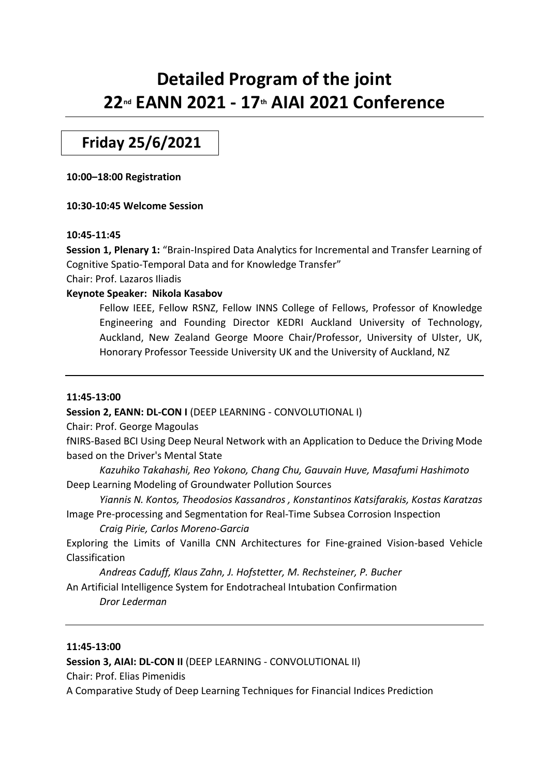# **Detailed Program of the joint 22nd EANN 2021 - 17th AIAI 2021 Conference**

**Friday 25/6/2021**

**10:00–18:00 Registration**

**10:30-10:45 Welcome Session**

## **10:45-11:45**

**Session 1, Plenary 1:** "Brain-Inspired Data Analytics for Incremental and Transfer Learning of Cognitive Spatio-Temporal Data and for Knowledge Transfer"

Chair: Prof. Lazaros Iliadis

## **Keynote Speaker: Nikola Kasabov**

Fellow IEEE, Fellow RSNZ, Fellow INNS College of Fellows, Professor of Knowledge Engineering and Founding Director KEDRI Auckland University of Technology, Auckland, New Zealand George Moore Chair/Professor, University of Ulster, UK, Honorary Professor Teesside University UK and the University of Auckland, NZ

## **11:45-13:00**

**Session 2, EANN: DL-CON I** (DEEP LEARNING - CONVOLUTIONAL I)

Chair: Prof. George Magoulas

fNIRS-Based BCI Using Deep Neural Network with an Application to Deduce the Driving Mode based on the Driver's Mental State

*Kazuhiko Takahashi, Reo Yokono, Chang Chu, Gauvain Huve, Masafumi Hashimoto* Deep Learning Modeling of Groundwater Pollution Sources

*Yiannis N. Kontos, Theodosios Kassandros , Konstantinos Katsifarakis, Kostas Karatzas* Image Pre-processing and Segmentation for Real-Time Subsea Corrosion Inspection

*Craig Pirie, Carlos Moreno-Garcia*

Exploring the Limits of Vanilla CNN Architectures for Fine-grained Vision-based Vehicle Classification

*Andreas Caduff, Klaus Zahn, J. Hofstetter, M. Rechsteiner, P. Bucher* An Artificial Intelligence System for Endotracheal Intubation Confirmation

*Dror Lederman*

## **11:45-13:00**

**Session 3, AIAI: DL-CON II (DEEP LEARNING - CONVOLUTIONAL II)** Chair: Prof. Elias Pimenidis

A Comparative Study of Deep Learning Techniques for Financial Indices Prediction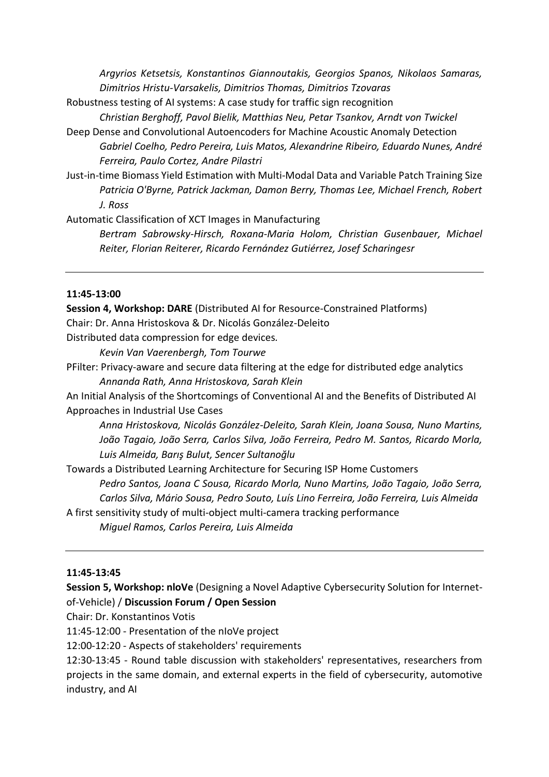*Argyrios Ketsetsis, Konstantinos Giannoutakis, Georgios Spanos, Nikolaos Samaras, Dimitrios Hristu-Varsakelis, Dimitrios Thomas, Dimitrios Tzovaras*

Robustness testing of AI systems: A case study for traffic sign recognition

*Christian Berghoff, Pavol Bielik, Matthias Neu, Petar Tsankov, Arndt von Twickel*

- Deep Dense and Convolutional Autoencoders for Machine Acoustic Anomaly Detection *Gabriel Coelho, Pedro Pereira, Luis Matos, Alexandrine Ribeiro, Eduardo Nunes, André Ferreira, Paulo Cortez, Andre Pilastri*
- Just-in-time Biomass Yield Estimation with Multi-Modal Data and Variable Patch Training Size *Patricia O'Byrne, Patrick Jackman, Damon Berry, Thomas Lee, Michael French, Robert J. Ross*

Automatic Classification of XCT Images in Manufacturing

*Bertram Sabrowsky-Hirsch, Roxana-Maria Holom, Christian Gusenbauer, Michael Reiter, Florian Reiterer, Ricardo Fernández Gutiérrez, Josef Scharingesr*

## **11:45-13:00**

**Session 4, Workshop: DARE** (Distributed AI for Resource-Constrained Platforms) Chair: Dr. Anna Hristoskova & Dr. Nicolás González-Deleito

Distributed data compression for edge devices*.*

*Kevin Van Vaerenbergh, Tom Tourwe*

PFilter: Privacy-aware and secure data filtering at the edge for distributed edge analytics *Annanda Rath, Anna Hristoskova, Sarah Klein*

An Initial Analysis of the Shortcomings of Conventional AI and the Benefits of Distributed AI Approaches in Industrial Use Cases

*Anna Hristoskova, Nicolás González-Deleito, Sarah Klein, Joana Sousa, Nuno Martins, João Tagaio, João Serra, Carlos Silva, João Ferreira, Pedro M. Santos, Ricardo Morla, Luis Almeida, Barış Bulut, Sencer Sultanoğlu*

Towards a Distributed Learning Architecture for Securing ISP Home Customers *Pedro Santos, Joana C Sousa, Ricardo Morla, Nuno Martins, João Tagaio, João Serra,* 

*Carlos Silva, Mário Sousa, Pedro Souto, Luís Lino Ferreira, João Ferreira, Luis Almeida*

A first sensitivity study of multi-object multi-camera tracking performance

*Miguel Ramos, Carlos Pereira, Luis Almeida*

### **11:45-13:45**

**Session 5, Workshop: nloVe** (Designing a Novel Adaptive Cybersecurity Solution for Internetof-Vehicle) / **Discussion Forum / Open Session**

Chair: Dr. Konstantinos Votis

11:45-12:00 - Presentation of the nIoVe project

12:00-12:20 - Aspects of stakeholders' requirements

12:30-13:45 - Round table discussion with stakeholders' representatives, researchers from projects in the same domain, and external experts in the field of cybersecurity, automotive industry, and AI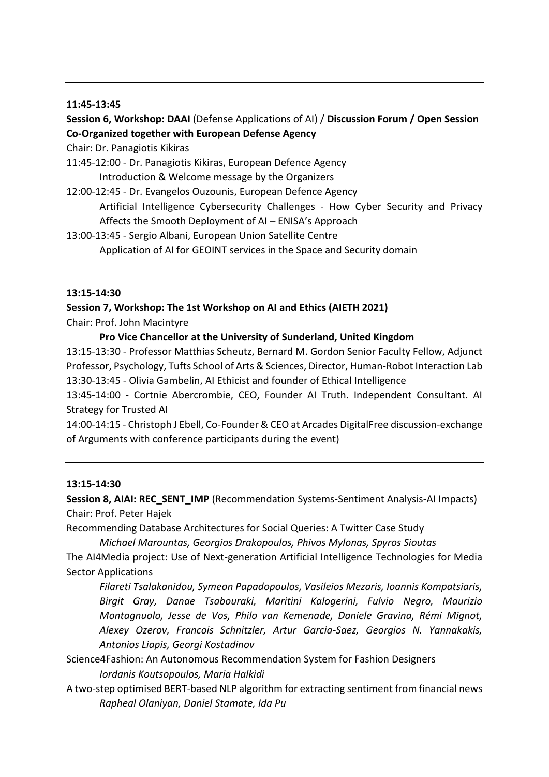#### **11:45-13:45**

## **Session 6, Workshop: DAAI** (Defense Applications of AI) / **Discussion Forum / Open Session Co-Organized together with European Defense Agency**

Chair: Dr. Panagiotis Kikiras

11:45-12:00 - Dr. Panagiotis Kikiras, European Defence Agency Introduction & Welcome message by the Organizers

- 12:00-12:45 Dr. Evangelos Ouzounis, European Defence Agency Artificial Intelligence Cybersecurity Challenges - How Cyber Security and Privacy Affects the Smooth Deployment of AI – ENISA's Approach
- 13:00-13:45 Sergio Albani, European Union Satellite Centre Application of AI for GEOINT services in the Space and Security domain

#### **13:15-14:30**

**Session 7, Workshop: The 1st Workshop on AI and Ethics (AIETH 2021)** Chair: Prof. John Macintyre

#### **Pro Vice Chancellor at the University of Sunderland, United Kingdom**

13:15-13:30 - Professor Matthias Scheutz, Bernard M. Gordon Senior Faculty Fellow, Adjunct Professor, Psychology, Tufts School of Arts & Sciences, Director, Human-Robot Interaction Lab 13:30-13:45 - Olivia Gambelin, AI Ethicist and founder of Ethical Intelligence

13:45-14:00 - Cortnie Abercrombie, CEO, Founder AI Truth. Independent Consultant. AI Strategy for Trusted AI

14:00-14:15 - Christoph J Ebell, Co-Founder & CEO at Arcades DigitalFree discussion-exchange of Arguments with conference participants during the event)

#### **13:15-14:30**

**Session 8, AIAI: REC\_SENT\_IMP** (Recommendation Systems-Sentiment Analysis-AI Impacts) Chair: Prof. Peter Hajek

Recommending Database Architectures for Social Queries: A Twitter Case Study

*Michael Marountas, Georgios Drakopoulos, Phivos Mylonas, Spyros Sioutas* The AI4Media project: Use of Next-generation Artificial Intelligence Technologies for Media

Sector Applications

*Filareti Tsalakanidou, Symeon Papadopoulos, Vasileios Mezaris, Ioannis Kompatsiaris, Birgit Gray, Danae Tsabouraki, Maritini Kalogerini, Fulvio Negro, Maurizio Montagnuolo, Jesse de Vos, Philo van Kemenade, Daniele Gravina, Rémi Mignot, Alexey Ozerov, Francois Schnitzler, Artur Garcia-Saez, Georgios N. Yannakakis, Antonios Liapis, Georgi Kostadinov*

Science4Fashion: An Autonomous Recommendation System for Fashion Designers *Iordanis Koutsopoulos, Maria Halkidi*

A two-step optimised BERT-based NLP algorithm for extracting sentiment from financial news *Rapheal Olaniyan, Daniel Stamate, Ida Pu*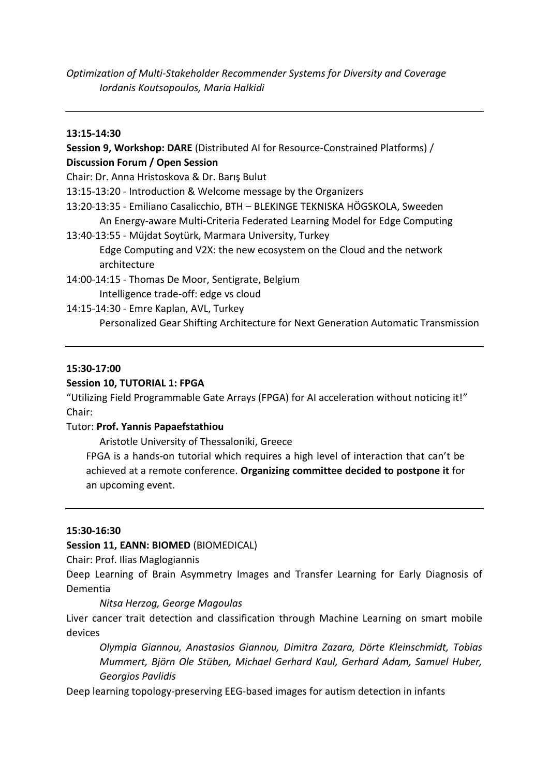*Optimization of Multi-Stakeholder Recommender Systems for Diversity and Coverage Iordanis Koutsopoulos, Maria Halkidi*

#### **13:15-14:30**

## **Session 9, Workshop: DARE** (Distributed AI for Resource-Constrained Platforms) / **Discussion Forum / Open Session**

- Chair: Dr. Anna Hristoskova & Dr. Barış Bulut
- 13:15-13:20 Introduction & Welcome message by the Organizers
- 13:20-13:35 Emiliano Casalicchio, BTH BLEKINGE TEKNISKA HÖGSKOLA, Sweeden An Energy-aware Multi-Criteria Federated Learning Model for Edge Computing
- 13:40-13:55 Müjdat Soytürk, Marmara University, Turkey Edge Computing and V2X: the new ecosystem on the Cloud and the network architecture
- 14:00-14:15 Thomas De Moor, Sentigrate, Belgium Intelligence trade-off: edge vs cloud
- 14:15-14:30 Emre Kaplan, AVL, Turkey Personalized Gear Shifting Architecture for Next Generation Automatic Transmission

## **15:30-17:00**

## **Session 10, TUTORIAL 1: FPGA**

"Utilizing Field Programmable Gate Arrays (FPGA) for AI acceleration without noticing it!" Chair:

## Tutor: **Prof. Yannis Papaefstathiou**

Aristotle University of Thessaloniki, Greece

FPGA is a hands-on tutorial which requires a high level of interaction that can't be achieved at a remote conference. **Organizing committee decided to postpone it** for an upcoming event.

## **15:30-16:30**

**Session 11, EANN: BIOMED** (BIOMEDICAL)

Chair: Prof. Ilias Maglogiannis

Deep Learning of Brain Asymmetry Images and Transfer Learning for Early Diagnosis of Dementia

## *Nitsa Herzog, George Magoulas*

Liver cancer trait detection and classification through Machine Learning on smart mobile devices

*Olympia Giannou, Anastasios Giannou, Dimitra Zazara, Dörte Kleinschmidt, Tobias Mummert, Björn Ole Stüben, Michael Gerhard Kaul, Gerhard Adam, Samuel Huber, Georgios Pavlidis*

Deep learning topology-preserving EEG-based images for autism detection in infants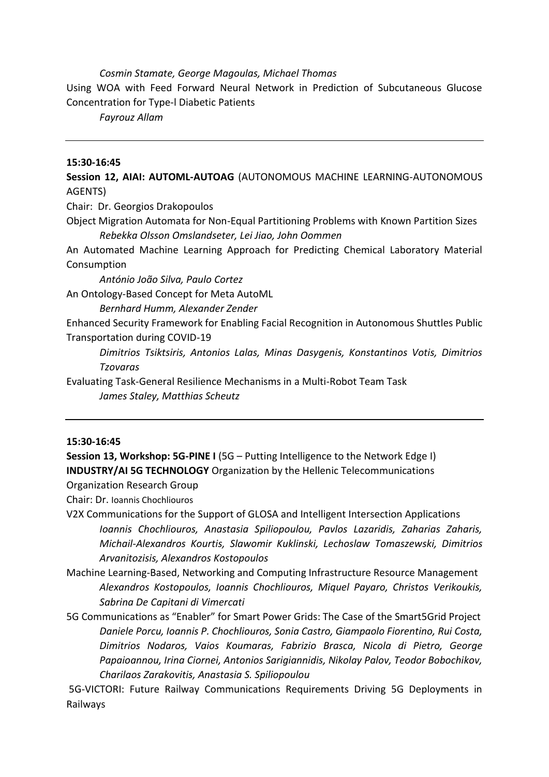#### *Cosmin Stamate, George Magoulas, Michael Thomas*

Using WOA with Feed Forward Neural Network in Prediction of Subcutaneous Glucose Concentration for Type-l Diabetic Patients

*Fayrouz Allam*

### **15:30-16:45**

**Session 12, AIAI: AUTOML-AUTOAG** (AUTONOMOUS MACHINE LEARNING-AUTONOMOUS AGENTS)

Chair: Dr. Georgios Drakopoulos

Object Migration Automata for Non-Equal Partitioning Problems with Known Partition Sizes *Rebekka Olsson Omslandseter, Lei Jiao, John Oommen*

An Automated Machine Learning Approach for Predicting Chemical Laboratory Material Consumption

*António João Silva, Paulo Cortez* 

An Ontology-Based Concept for Meta AutoML

*Bernhard Humm, Alexander Zender*

Enhanced Security Framework for Enabling Facial Recognition in Autonomous Shuttles Public Transportation during COVID-19

*Dimitrios Tsiktsiris, Antonios Lalas, Minas Dasygenis, Konstantinos Votis, Dimitrios Tzovaras*

Evaluating Task-General Resilience Mechanisms in a Multi-Robot Team Task *James Staley, Matthias Scheutz*

#### **15:30-16:45**

**Session 13, Workshop: 5G-PINE I** (5G – Putting Intelligence to the Network Edge I) **INDUSTRY/AI 5G TECHNOLOGY** Organization by the Hellenic Telecommunications

Organization Research Group

Chair: Dr. Ioannis Chochliouros

- V2X Communications for the Support of GLOSA and Intelligent Intersection Applications *Ioannis Chochliouros, Anastasia Spiliopoulou, Pavlos Lazaridis, Zaharias Zaharis, Michail-Alexandros Kourtis, Slawomir Kuklinski, Lechoslaw Tomaszewski, Dimitrios Arvanitozisis, Alexandros Kostopoulos*
- Machine Learning-Based, Networking and Computing Infrastructure Resource Management *Alexandros Kostopoulos, Ioannis Chochliouros, Miquel Payaro, Christos Verikoukis, Sabrina De Capitani di Vimercati*
- 5G Communications as "Enabler" for Smart Power Grids: The Case of the Smart5Grid Project *Daniele Porcu, Ioannis P. Chochliouros, Sonia Castro, Giampaolo Fiorentino, Rui Costa, Dimitrios Nodaros, Vaios Koumaras, Fabrizio Brasca, Nicola di Pietro, George Papaioannou, Irina Ciornei, Antonios Sarigiannidis, Nikolay Palov, Teodor Bobochikov, Charilaos Zarakovitis, Anastasia S. Spiliopoulou*

5G-VICTORI: Future Railway Communications Requirements Driving 5G Deployments in Railways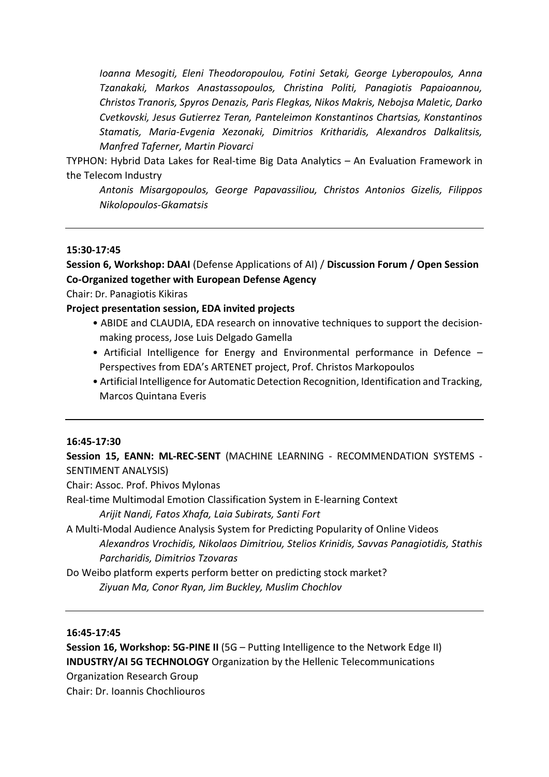*Ioanna Mesogiti, Eleni Theodoropoulou, Fotini Setaki, George Lyberopoulos, Anna Tzanakaki, Markos Anastassopoulos, Christina Politi, Panagiotis Papaioannou, Christos Tranoris, Spyros Denazis, Paris Flegkas, Nikos Makris, Nebojsa Maletic, Darko Cvetkovski, Jesus Gutierrez Teran, Panteleimon Konstantinos Chartsias, Konstantinos Stamatis, Maria-Evgenia Xezonaki, Dimitrios Kritharidis, Alexandros Dalkalitsis, Manfred Taferner, Martin Piovarci*

TYPHON: Hybrid Data Lakes for Real-time Big Data Analytics – An Evaluation Framework in the Telecom Industry

*Antonis Misargopoulos, George Papavassiliou, Christos Antonios Gizelis, Filippos Nikolopoulos-Gkamatsis*

## **15:30-17:45**

## **Session 6, Workshop: DAAI** (Defense Applications of AI) / **Discussion Forum / Open Session Co-Organized together with European Defense Agency**

Chair: Dr. Panagiotis Kikiras

#### **Project presentation session, EDA invited projects**

- ABIDE and CLAUDIA, EDA research on innovative techniques to support the decisionmaking process, Jose Luis Delgado Gamella
- Artificial Intelligence for Energy and Environmental performance in Defence Perspectives from EDA's ARTENET project, Prof. Christos Markopoulos
- Artificial Intelligence for Automatic Detection Recognition, Identification and Tracking, Marcos Quintana Everis

#### **16:45-17:30**

**Session 15, EANN: ML-REC-SENT** (MACHINE LEARNING - RECOMMENDATION SYSTEMS - SENTIMENT ANALYSIS)

Chair: Assoc. Prof. Phivos Mylonas

Real-time Multimodal Emotion Classification System in E-learning Context

*Arijit Nandi, Fatos Xhafa, Laia Subirats, Santi Fort*

A Multi-Modal Audience Analysis System for Predicting Popularity of Online Videos *Alexandros Vrochidis, Nikolaos Dimitriou, Stelios Krinidis, Savvas Panagiotidis, Stathis Parcharidis, Dimitrios Tzovaras*

Do Weibo platform experts perform better on predicting stock market? *Ziyuan Ma, Conor Ryan, Jim Buckley, Muslim Chochlov*

## **16:45-17:45**

**Session 16, Workshop: 5G-PINE IΙ** (5G – Putting Intelligence to the Network Edge II) **INDUSTRY/AI 5G TECHNOLOGY** Organization by the Hellenic Telecommunications Organization Research Group

Chair: Dr. Ioannis Chochliouros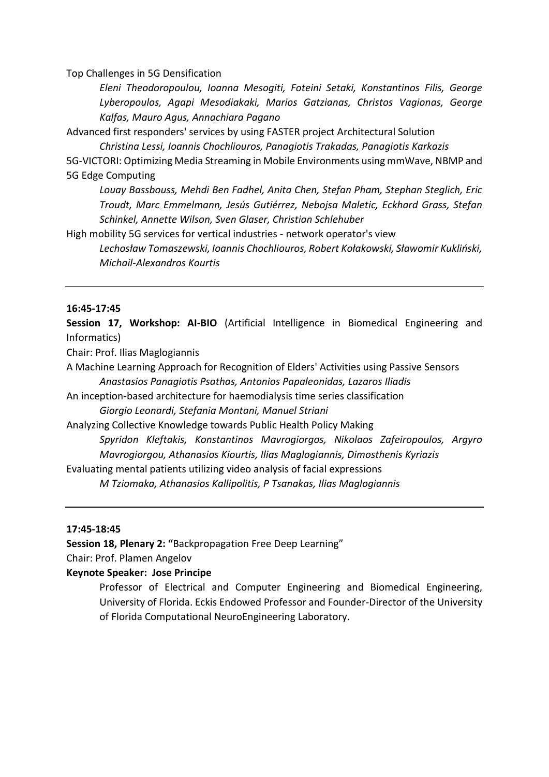Top Challenges in 5G Densification

*Eleni Theodoropoulou, Ioanna Mesogiti, Foteini Setaki, Konstantinos Filis, George Lyberopoulos, Agapi Mesodiakaki, Marios Gatzianas, Christos Vagionas, George Kalfas, Mauro Agus, Annachiara Pagano*

Advanced first responders' services by using FASTER project Architectural Solution

*Christina Lessi, Ioannis Chochliouros, Panagiotis Trakadas, Panagiotis Karkazis* 5G-VICTORI: Optimizing Media Streaming in Mobile Environments using mmWave, NBMP and 5G Edge Computing

*Louay Bassbouss, Mehdi Ben Fadhel, Anita Chen, Stefan Pham, Stephan Steglich, Eric Troudt, Marc Emmelmann, Jesús Gutiérrez, Nebojsa Maletic, Eckhard Grass, Stefan Schinkel, Annette Wilson, Sven Glaser, Christian Schlehuber*

High mobility 5G services for vertical industries - network operator's view

*Lechosław Tomaszewski, Ioannis Chochliouros, Robert Kołakowski, Sławomir Kukliński, Michail-Alexandros Kourtis*

#### **16:45-17:45**

**Session 17, Workshop: AI-BIO** (Artificial Intelligence in Biomedical Engineering and Informatics)

Chair: Prof. Ilias Maglogiannis

A Machine Learning Approach for Recognition of Elders' Activities using Passive Sensors *Anastasios Panagiotis Psathas, Antonios Papaleonidas, Lazaros Iliadis*

An inception-based architecture for haemodialysis time series classification

*Giorgio Leonardi, Stefania Montani, Manuel Striani*

Analyzing Collective Knowledge towards Public Health Policy Making

*Spyridon Kleftakis, Konstantinos Mavrogiorgos, Nikolaos Zafeiropoulos, Argyro Mavrogiorgou, Athanasios Kiourtis, Ilias Maglogiannis, Dimosthenis Kyriazis*

Evaluating mental patients utilizing video analysis of facial expressions

*M Tziomaka, Athanasios Kallipolitis, P Tsanakas, Ilias Maglogiannis*

#### **17:45-18:45**

**Session 18, Plenary 2: "**Backpropagation Free Deep Learning"

Chair: Prof. Plamen Angelov

## **Keynote Speaker: Jose Principe**

Professor of Electrical and Computer Engineering and Biomedical Engineering, University of Florida. Eckis Endowed Professor and Founder-Director of the University of Florida Computational NeuroEngineering Laboratory.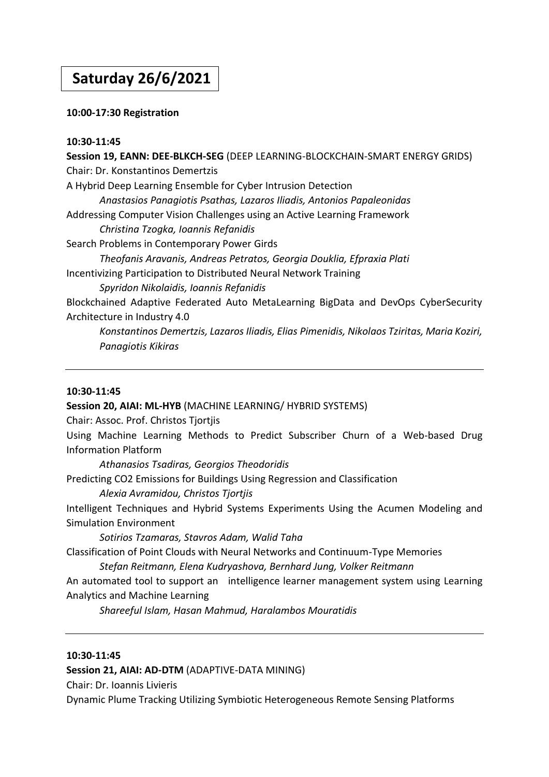## **Saturday 26/6/2021**

## **10:00-17:30 Registration**

## **10:30-11:45**

**Session 19, EANN: DEE-BLKCH-SEG** (DEEP LEARNING-BLOCKCHAIN-SMART ENERGY GRIDS) Chair: Dr. Konstantinos Demertzis A Hybrid Deep Learning Ensemble for Cyber Intrusion Detection *Anastasios Panagiotis Psathas, Lazaros Iliadis, Antonios Papaleonidas* Addressing Computer Vision Challenges using an Active Learning Framework *Christina Tzogka, Ioannis Refanidis* Search Problems in Contemporary Power Girds *Theofanis Aravanis, Andreas Petratos, Georgia Douklia, Efpraxia Plati* Incentivizing Participation to Distributed Neural Network Training *Spyridon Nikolaidis, Ioannis Refanidis* Blockchained Αdaptive Federated Auto MetaLearning BigData and DevOps CyberSecurity Architecture in Industry 4.0 *Konstantinos Demertzis, Lazaros Iliadis, Elias Pimenidis, Nikolaos Tziritas, Maria Koziri,* 

## **10:30-11:45**

**Session 20, AIAI: ML-HYB** (MACHINE LEARNING/ HYBRID SYSTEMS)

Chair: Assoc. Prof. Christos Tjortjis

*Panagiotis Kikiras*

Using Machine Learning Methods to Predict Subscriber Churn of a Web-based Drug Information Platform

*Athanasios Tsadiras, Georgios Theodoridis* Predicting CO2 Emissions for Buildings Using Regression and Classification

*Alexia Avramidou, Christos Tjortjis*

Intelligent Techniques and Hybrid Systems Experiments Using the Acumen Modeling and Simulation Environment

*Sotirios Tzamaras, Stavros Adam, Walid Taha*

Classification of Point Clouds with Neural Networks and Continuum-Type Memories *Stefan Reitmann, Elena Kudryashova, Bernhard Jung, Volker Reitmann*

An automated tool to support an intelligence learner management system using Learning Analytics and Machine Learning

*Shareeful Islam, Hasan Mahmud, Haralambos Mouratidis*

## **10:30-11:45**

**Session 21, AIAI: AD-DTM** (ADAPTIVE-DATA MINING)

Chair: Dr. Ioannis Livieris

Dynamic Plume Tracking Utilizing Symbiotic Heterogeneous Remote Sensing Platforms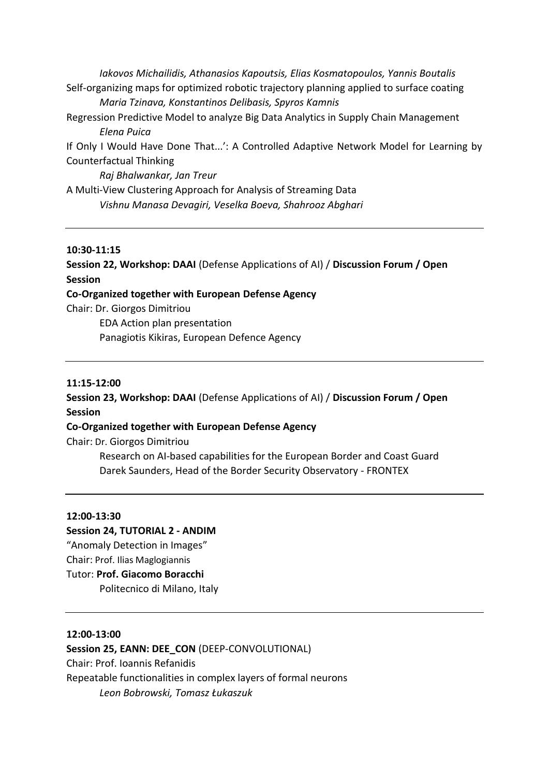*Iakovos Michailidis, Athanasios Kapoutsis, Elias Kosmatopoulos, Yannis Boutalis* Self-organizing maps for optimized robotic trajectory planning applied to surface coating *Maria Tzinava, Konstantinos Delibasis, Spyros Kamnis*

Regression Predictive Model to analyze Big Data Analytics in Supply Chain Management *Elena Puica*

If Only I Would Have Done That...': A Controlled Adaptive Network Model for Learning by Counterfactual Thinking

*Raj Bhalwankar, Jan Treur* 

A Multi-View Clustering Approach for Analysis of Streaming Data *Vishnu Manasa Devagiri, Veselka Boeva, Shahrooz Abghari*

## **10:30-11:15**

**Session 22, Workshop: DAAI** (Defense Applications of AI) / **Discussion Forum / Open Session**

## **Co-Organized together with European Defense Agency**

Chair: Dr. Giorgos Dimitriou

EDA Action plan presentation Panagiotis Kikiras, European Defence Agency

## **11:15-12:00**

**Session 23, Workshop: DAAI** (Defense Applications of AI) / **Discussion Forum / Open Session**

## **Co-Organized together with European Defense Agency**

Chair: Dr. Giorgos Dimitriou

Research on AI-based capabilities for the European Border and Coast Guard Darek Saunders, Head of the Border Security Observatory - FRONTEX

## **12:00-13:30**

## **Session 24, TUTORIAL 2 - ANDIM**

"Anomaly Detection in Images"

Chair: Prof. Ilias Maglogiannis

## Tutor: **Prof. Giacomo Boracchi**

Politecnico di Milano, Italy

## **12:00-13:00**

## Session 25, EANN: DEE\_CON (DEEP-CONVOLUTIONAL)

Chair: Prof. Ioannis Refanidis

Repeatable functionalities in complex layers of formal neurons *Leon Bobrowski, Tomasz Łukaszuk*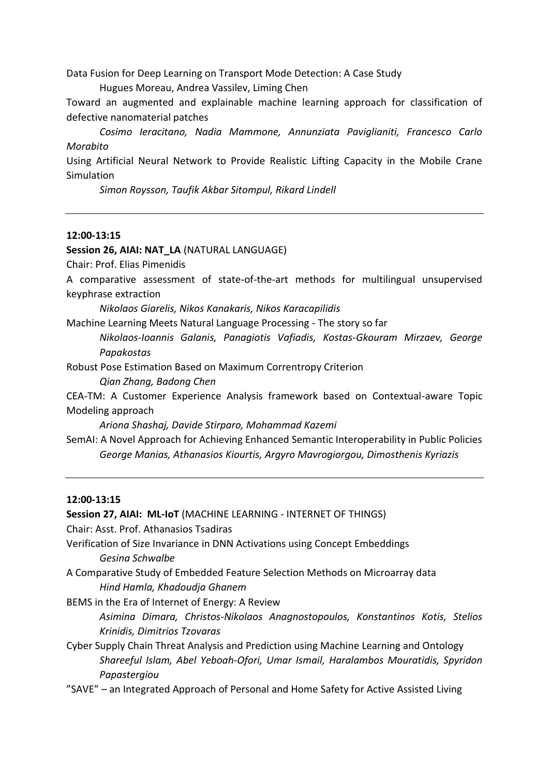Data Fusion for Deep Learning on Transport Mode Detection: A Case Study

Hugues Moreau, Andrea Vassilev, Liming Chen

Toward an augmented and explainable machine learning approach for classification of defective nanomaterial patches

*Cosimo Ieracitano, Nadia Mammone, Annunziata Paviglianiti, Francesco Carlo Morabito*

Using Artificial Neural Network to Provide Realistic Lifting Capacity in the Mobile Crane Simulation

*Simon Roysson, Taufik Akbar Sitompul, Rikard Lindell*

#### **12:00-13:15**

#### **Session 26, AIAI: NAT\_LA** (NATURAL LANGUAGE)

Chair: Prof. Elias Pimenidis

A comparative assessment of state-of-the-art methods for multilingual unsupervised keyphrase extraction

*Nikolaos Giarelis, Nikos Kanakaris, Nikos Karacapilidis*

Machine Learning Meets Natural Language Processing - The story so far

*Nikolaos-Ioannis Galanis, Panagiotis Vafiadis, Kostas-Gkouram Mirzaev, George Papakostas*

Robust Pose Estimation Based on Maximum Correntropy Criterion

*Qian Zhang, Badong Chen*

CEA-TM: A Customer Experience Analysis framework based on Contextual-aware Topic Modeling approach

*Ariona Shashaj, Davide Stirparo, Mohammad Kazemi*

SemAI: A Novel Approach for Achieving Enhanced Semantic Interoperability in Public Policies *George Manias, Athanasios Kiourtis, Argyro Mavrogiorgou, Dimosthenis Kyriazis*

#### **12:00-13:15**

**Session 27, AIAI: ML-IoT** (MACHINE LEARNING - INTERNET OF THINGS) Chair: Asst. Prof. Athanasios Tsadiras Verification of Size Invariance in DNN Activations using Concept Embeddings *Gesina Schwalbe* A Comparative Study of Embedded Feature Selection Methods on Microarray data *Hind Hamla, Khadoudja Ghanem* BEMS in the Era of Internet of Energy: A Review *Asimina Dimara, Christos-Nikolaos Anagnostopoulos, Konstantinos Kotis, Stelios Krinidis, Dimitrios Tzovaras* Cyber Supply Chain Threat Analysis and Prediction using Machine Learning and Ontology *Shareeful Islam, Abel Yeboah-Ofori, Umar Ismail, Haralambos Mouratidis, Spyridon Papastergiou*

"SAVE" – an Integrated Approach of Personal and Home Safety for Active Assisted Living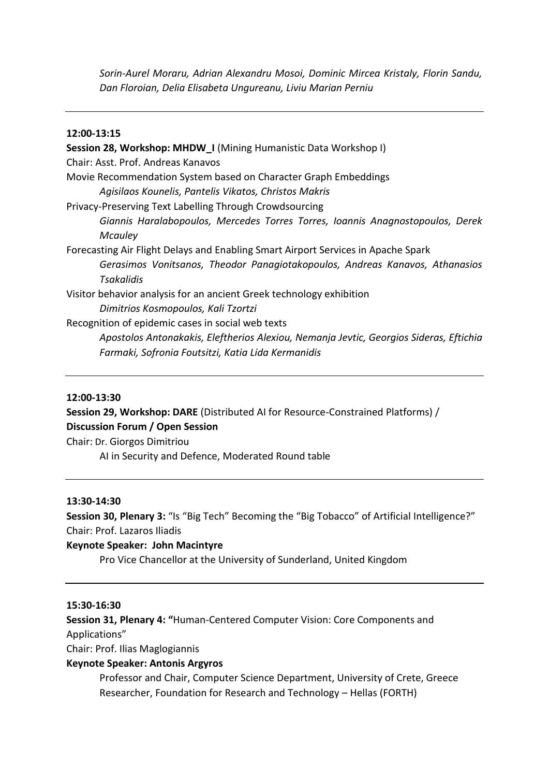*Sorin-Aurel Moraru, Adrian Alexandru Mosoi, Dominic Mircea Kristaly, Florin Sandu, Dan Floroian, Delia Elisabeta Ungureanu, Liviu Marian Perniu*

#### **12:00-13:15**

**Session 28, Workshop: MHDW\_I** (Mining Humanistic Data Workshop I) Chair: Asst. Prof. Andreas Kanavos Movie Recommendation System based on Character Graph Embeddings *Agisilaos Kounelis, Pantelis Vikatos, Christos Makris* Privacy-Preserving Text Labelling Through Crowdsourcing *Giannis Haralabopoulos, Mercedes Torres Torres, Ioannis Anagnostopoulos, Derek Mcauley* Forecasting Air Flight Delays and Enabling Smart Airport Services in Apache Spark *Gerasimos Vonitsanos, Theodor Panagiotakopoulos, Andreas Kanavos, Athanasios Tsakalidis* Visitor behavior analysis for an ancient Greek technology exhibition *Dimitrios Kosmopoulos, Kali Tzortzi* Recognition of epidemic cases in social web texts *Apostolos Antonakakis, Eleftherios Alexiou, Nemanja Jevtic, Georgios Sideras, Eftichia Farmaki, Sofronia Foutsitzi, Katia Lida Kermanidis*

## **12:00-13:30**

**Session 29, Workshop: DARE** (Distributed AI for Resource-Constrained Platforms) / **Discussion Forum / Open Session**

Chair: Dr. Giorgos Dimitriou

AI in Security and Defence, Moderated Round table

#### **13:30-14:30**

**Session 30, Plenary 3:** "Is "Big Tech" Becoming the "Big Tobacco" of Artificial Intelligence?" Chair: Prof. Lazaros Iliadis

#### **Keynote Speaker: John Macintyre**

Pro Vice Chancellor at the University of Sunderland, United Kingdom

#### **15:30-16:30**

**Session 31, Plenary 4: "**Human-Centered Computer Vision: Core Components and Applications"

Chair: Prof. Ilias Maglogiannis

## **Keynote Speaker: Antonis Argyros**

Professor and Chair, Computer Science Department, University of Crete, Greece Researcher, Foundation for Research and Technology – Hellas (FORTH)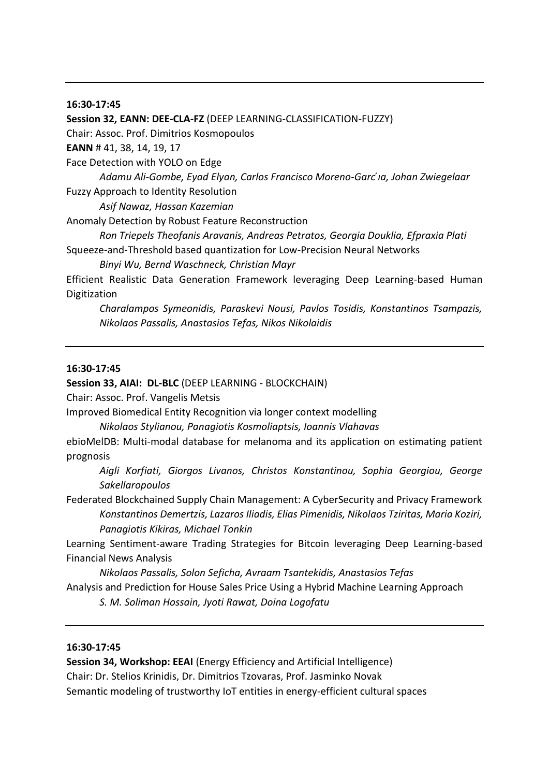#### **16:30-17:45**

**Session 32, EANN: DEE-CLA-FZ** (DEEP LEARNING-CLASSIFICATION-FUZZY) Chair: Assoc. Prof. Dimitrios Kosmopoulos **EANN** # 41, 38, 14, 19, 17 Face Detection with YOLO on Edge *Adamu Ali-Gombe, Eyad Elyan, Carlos Francisco Moreno-Garc ́ıa, Johan Zwiegelaar* Fuzzy Approach to Identity Resolution *Asif Nawaz, Hassan Kazemian* Anomaly Detection by Robust Feature Reconstruction *Ron Triepels Theofanis Aravanis, Andreas Petratos, Georgia Douklia, Efpraxia Plati* Squeeze-and-Threshold based quantization for Low-Precision Neural Networks *Binyi Wu, Bernd Waschneck, Christian Mayr* Efficient Realistic Data Generation Framework leveraging Deep Learning-based Human Digitization *Charalampos Symeonidis, Paraskevi Nousi, Pavlos Tosidis, Konstantinos Tsampazis, Nikolaos Passalis, Anastasios Tefas, Nikos Nikolaidis*

#### **16:30-17:45**

**Session 33, AIAI: DL-BLC** (DEEP LEARNING - BLOCKCHAIN)

Chair: Assoc. Prof. Vangelis Metsis

Improved Biomedical Entity Recognition via longer context modelling

*Nikolaos Stylianou, Panagiotis Kosmoliaptsis, Ioannis Vlahavas*

ebioMelDB: Multi-modal database for melanoma and its application on estimating patient prognosis

*Aigli Korfiati, Giorgos Livanos, Christos Konstantinou, Sophia Georgiou, George Sakellaropoulos*

Federated Blockchained Supply Chain Management: A CyberSecurity and Privacy Framework *Konstantinos Demertzis, Lazaros Iliadis, Elias Pimenidis, Nikolaos Tziritas, Maria Koziri, Panagiotis Kikiras, Michael Tonkin*

Learning Sentiment-aware Trading Strategies for Bitcoin leveraging Deep Learning-based Financial News Analysis

*Nikolaos Passalis, Solon Seficha, Avraam Tsantekidis, Anastasios Tefas* Analysis and Prediction for House Sales Price Using a Hybrid Machine Learning Approach

*S. M. Soliman Hossain, Jyoti Rawat, Doina Logofatu*

## **16:30-17:45**

**Session 34, Workshop: EEAI** (Energy Efficiency and Artificial Intelligence) Chair: Dr. Stelios Krinidis, Dr. Dimitrios Tzovaras, Prof. Jasminko Novak Semantic modeling of trustworthy IoT entities in energy-efficient cultural spaces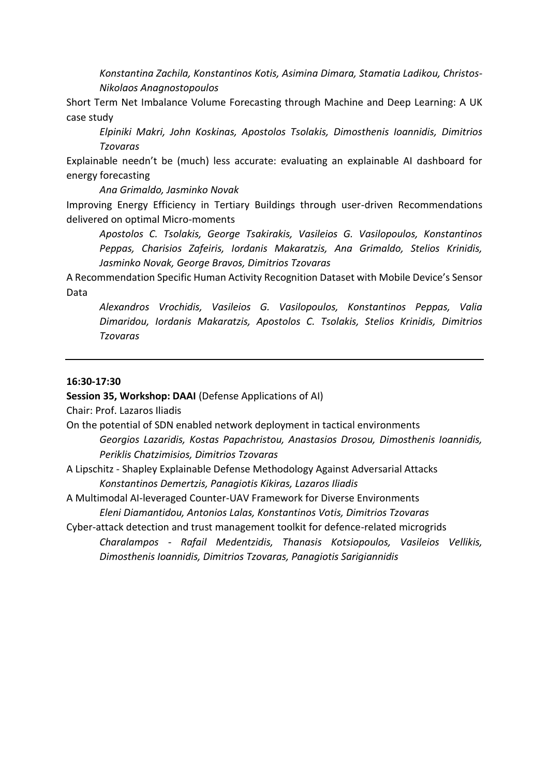*Konstantina Zachila, Konstantinos Kotis, Asimina Dimara, Stamatia Ladikou, Christos-Nikolaos Anagnostopoulos* 

Short Term Net Imbalance Volume Forecasting through Machine and Deep Learning: A UK case study

*Elpiniki Makri, John Koskinas, Apostolos Tsolakis, Dimosthenis Ioannidis, Dimitrios Tzovaras*

Explainable needn't be (much) less accurate: evaluating an explainable AI dashboard for energy forecasting

*Ana Grimaldo, Jasminko Novak*

Improving Energy Efficiency in Tertiary Buildings through user-driven Recommendations delivered on optimal Micro-moments

*Apostolos C. Tsolakis, George Tsakirakis, Vasileios G. Vasilopoulos, Konstantinos Peppas, Charisios Zafeiris, Iordanis Makaratzis, Ana Grimaldo, Stelios Krinidis, Jasminko Novak, George Bravos, Dimitrios Tzovaras* 

A Recommendation Specific Human Activity Recognition Dataset with Mobile Device's Sensor Data

*Alexandros Vrochidis, Vasileios G. Vasilopoulos, Konstantinos Peppas, Valia Dimaridou, Iordanis Makaratzis, Apostolos C. Tsolakis, Stelios Krinidis, Dimitrios Tzovaras*

#### **16:30-17:30**

#### **Session 35, Workshop: DAAI** (Defense Applications of AI)

Chair: Prof. Lazaros Iliadis

- On the potential of SDN enabled network deployment in tactical environments *Georgios Lazaridis, Kostas Papachristou, Anastasios Drosou, Dimosthenis Ioannidis, Periklis Chatzimisios, Dimitrios Tzovaras*
- A Lipschitz Shapley Explainable Defense Methodology Against Adversarial Attacks *Konstantinos Demertzis, Panagiotis Kikiras, Lazaros Iliadis*
- A Multimodal AI-leveraged Counter-UAV Framework for Diverse Environments *Eleni Diamantidou, Antonios Lalas, Konstantinos Votis, Dimitrios Tzovaras*
- Cyber-attack detection and trust management toolkit for defence-related microgrids *Charalampos - Rafail Medentzidis, Thanasis Kotsiopoulos, Vasileios Vellikis, Dimosthenis Ioannidis, Dimitrios Tzovaras, Panagiotis Sarigiannidis*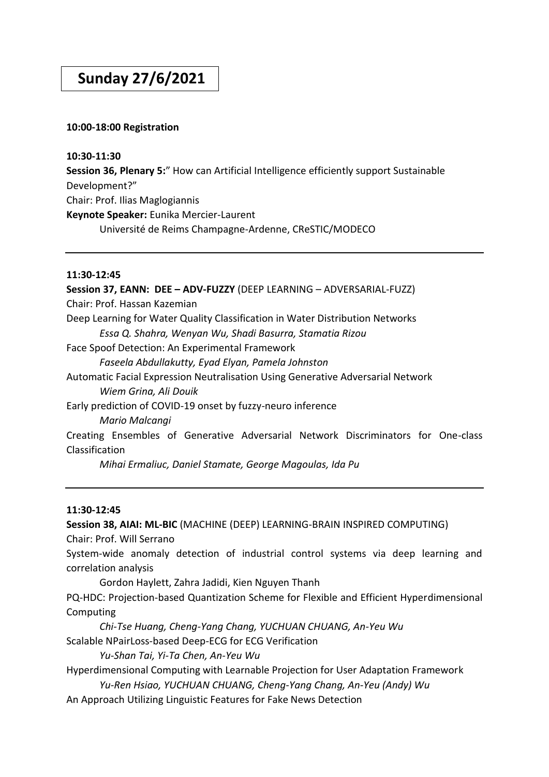## **Sunday 27/6/2021**

## **10:00-18:00 Registration**

## **10:30-11:30**

**Session 36, Plenary 5:**" How can Artificial Intelligence efficiently support Sustainable Development?" Chair: Prof. Ilias Maglogiannis **Keynote Speaker:** Eunika Mercier-Laurent Université de Reims Champagne-Ardenne, CReSTIC/MODECO

## **11:30-12:45**

**Session 37, EANN: DEE – ADV-FUZZY** (DEEP LEARNING – ADVERSARIAL-FUZZ) Chair: Prof. Hassan Kazemian Deep Learning for Water Quality Classification in Water Distribution Networks *Essa Q. Shahra, Wenyan Wu, Shadi Basurra, Stamatia Rizou*  Face Spoof Detection: An Experimental Framework *Faseela Abdullakutty, Eyad Elyan, Pamela Johnston* Automatic Facial Expression Neutralisation Using Generative Adversarial Network *Wiem Grina, Ali Douik* Early prediction of COVID-19 onset by fuzzy-neuro inference *Mario Malcangi* Creating Ensembles of Generative Adversarial Network Discriminators for One-class Classification

*Mihai Ermaliuc, Daniel Stamate, George Magoulas, Ida Pu* 

## **11:30-12:45**

**Session 38, AIAI: ML-BIC** (MACHINE (DEEP) LEARNING-BRAIN INSPIRED COMPUTING) Chair: Prof. Will Serrano System-wide anomaly detection of industrial control systems via deep learning and correlation analysis Gordon Haylett, Zahra Jadidi, Kien Nguyen Thanh PQ-HDC: Projection-based Quantization Scheme for Flexible and Efficient Hyperdimensional Computing *Chi-Tse Huang, Cheng-Yang Chang, YUCHUAN CHUANG, An-Yeu Wu* Scalable NPairLoss-based Deep-ECG for ECG Verification *Yu-Shan Tai, Yi-Ta Chen, An-Yeu Wu* Hyperdimensional Computing with Learnable Projection for User Adaptation Framework

*Yu-Ren Hsiao, YUCHUAN CHUANG, Cheng-Yang Chang, An-Yeu (Andy) Wu*

An Approach Utilizing Linguistic Features for Fake News Detection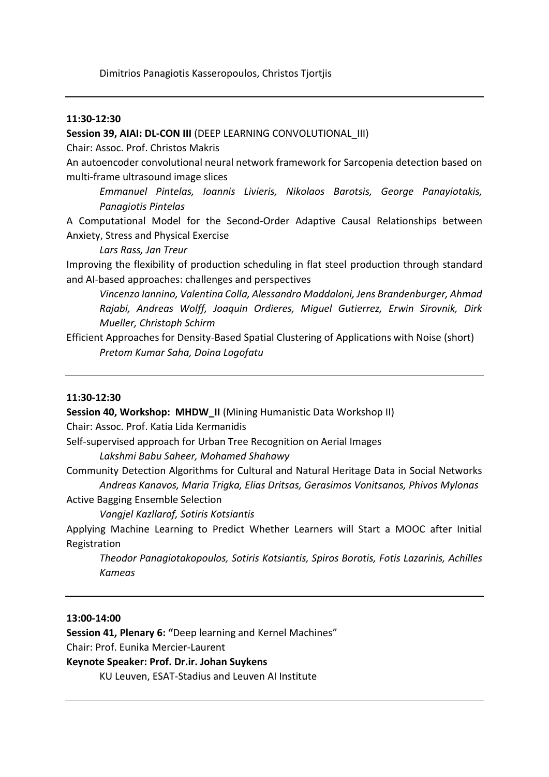### **11:30-12:30**

**Session 39, AIAI: DL-CON III** (DEEP LEARNING CONVOLUTIONAL\_III)

Chair: Assoc. Prof. Christos Makris

An autoencoder convolutional neural network framework for Sarcopenia detection based on multi-frame ultrasound image slices

*Emmanuel Pintelas, Ioannis Livieris, Nikolaos Barotsis, George Panayiotakis, Panagiotis Pintelas*

A Computational Model for the Second-Order Adaptive Causal Relationships between Anxiety, Stress and Physical Exercise

*Lars Rass, Jan Treur*

Improving the flexibility of production scheduling in flat steel production through standard and AI-based approaches: challenges and perspectives

*Vincenzo Iannino, Valentina Colla, Alessandro Maddaloni, Jens Brandenburger, Ahmad Rajabi, Andreas Wolff, Joaquin Ordieres, Miguel Gutierrez, Erwin Sirovnik, Dirk Mueller, Christoph Schirm*

Efficient Approaches for Density-Based Spatial Clustering of Applications with Noise (short) *Pretom Kumar Saha, Doina Logofatu* 

#### **11:30-12:30**

**Session 40, Workshop: MHDW\_II** (Mining Humanistic Data Workshop II)

Chair: Assoc. Prof. Katia Lida Kermanidis

Self-supervised approach for Urban Tree Recognition on Aerial Images

*Lakshmi Babu Saheer, Mohamed Shahawy*

Community Detection Algorithms for Cultural and Natural Heritage Data in Social Networks *Andreas Kanavos, Maria Trigka, Elias Dritsas, Gerasimos Vonitsanos, Phivos Mylonas*

Active Bagging Ensemble Selection

*Vangjel Kazllarof, Sotiris Kotsiantis*

Applying Machine Learning to Predict Whether Learners will Start a MOOC after Initial Registration

*Theodor Panagiotakopoulos, Sotiris Kotsiantis, Spiros Borotis, Fotis Lazarinis, Achilles Kameas*

#### **13:00-14:00**

**Session 41, Plenary 6: "**Deep learning and Kernel Machines"

Chair: Prof. Eunika Mercier-Laurent

## **Keynote Speaker: Prof. Dr.ir. Johan Suykens**

KU Leuven, ESAT-Stadius and Leuven AI Institute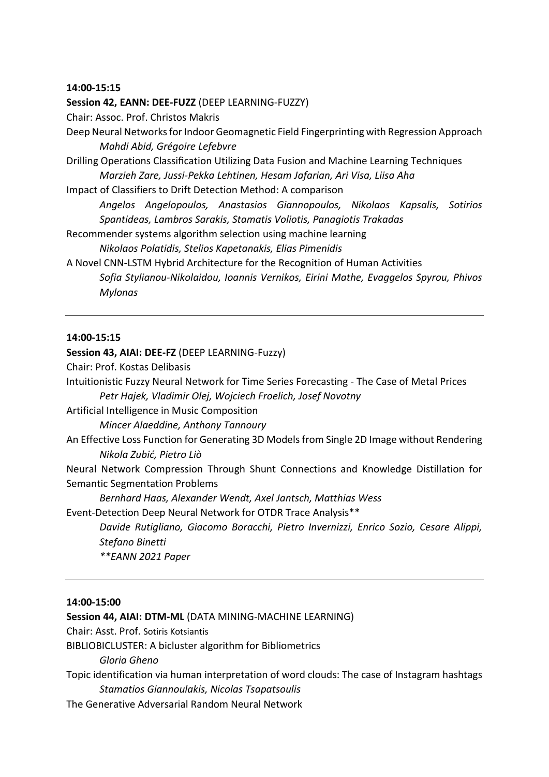#### **14:00-15:15**

**Session 42, EANN: DEE-FUZZ** (DEEP LEARNING-FUZZY) Chair: Assoc. Prof. Christos Makris Deep Neural Networks for Indoor Geomagnetic Field Fingerprinting with Regression Approach *Mahdi Abid, Grégoire Lefebvre* Drilling Operations Classification Utilizing Data Fusion and Machine Learning Techniques *Marzieh Zare, Jussi-Pekka Lehtinen, Hesam Jafarian, Ari Visa, Liisa Aha* Impact of Classifiers to Drift Detection Method: A comparison *Angelos Angelopoulos, Anastasios Giannopoulos, Nikolaos Kapsalis, Sotirios Spantideas, Lambros Sarakis, Stamatis Voliotis, Panagiotis Trakadas* Recommender systems algorithm selection using machine learning *Nikolaos Polatidis, Stelios Kapetanakis, Elias Pimenidis*

A Novel CNN-LSTM Hybrid Architecture for the Recognition of Human Activities *Sofia Stylianou-Nikolaidou, Ioannis Vernikos, Eirini Mathe, Evaggelos Spyrou, Phivos Mylonas* 

#### **14:00-15:15**

#### **Session 43, AIAI: DEE-FZ** (DEEP LEARNING-Fuzzy)

Chair: Prof. Kostas Delibasis

Intuitionistic Fuzzy Neural Network for Time Series Forecasting - The Case of Metal Prices *Petr Hajek, Vladimir Olej, Wojciech Froelich, Josef Novotny*

Artificial Intelligence in Music Composition

*Mincer Alaeddine, Anthony Tannoury*

An Effective Loss Function for Generating 3D Models from Single 2D Image without Rendering *Nikola Zubić, Pietro Liò*

Neural Network Compression Through Shunt Connections and Knowledge Distillation for Semantic Segmentation Problems

*Bernhard Haas, Alexander Wendt, Axel Jantsch, Matthias Wess*

Event-Detection Deep Neural Network for OTDR Trace Analysis\*\*

*Davide Rutigliano, Giacomo Boracchi, Pietro Invernizzi, Enrico Sozio, Cesare Alippi, Stefano Binetti*

*\*\*EANN 2021 Paper*

#### **14:00-15:00**

#### **Session 44, AIAI: DTM-ML** (DATA MINING-MACHINE LEARNING)

Chair: Asst. Prof. Sotiris Kotsiantis

BIBLIOBICLUSTER: A bicluster algorithm for Bibliometrics

*Gloria Gheno*

Topic identification via human interpretation of word clouds: The case of Instagram hashtags *Stamatios Giannoulakis, Nicolas Tsapatsoulis*

The Generative Adversarial Random Neural Network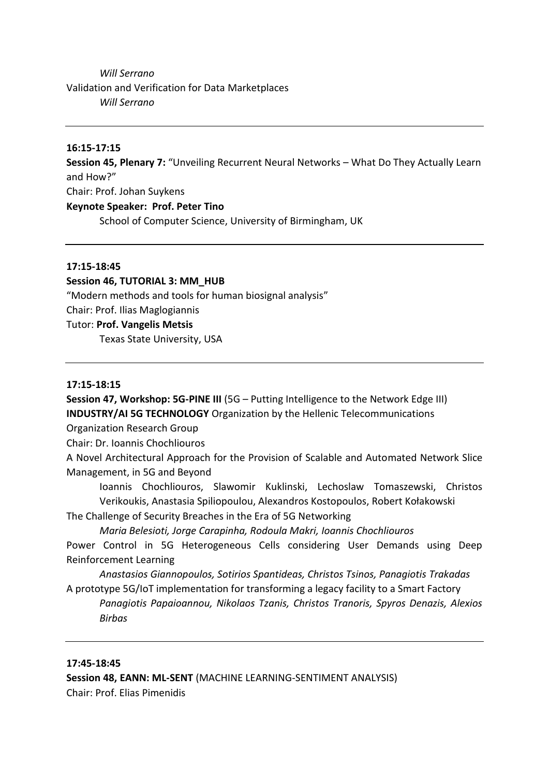## *Will Serrano* Validation and Verification for Data Marketplaces *Will Serrano*

## **16:15-17:15**

**Session 45, Plenary 7:** "Unveiling Recurrent Neural Networks – What Do They Actually Learn and How?"

Chair: Prof. Johan Suykens

## **Keynote Speaker: Prof. Peter Tino**

School of Computer Science, University of Birmingham, UK

#### **17:15-18:45**

## **Session 46, TUTORIAL 3: MM\_HUB**

"Modern methods and tools for human biosignal analysis"

Chair: Prof. Ilias Maglogiannis

#### Tutor: **Prof. Vangelis Metsis**

Texas State University, USA

#### **17:15-18:15**

**Session 47, Workshop: 5G-PINE III** (5G – Putting Intelligence to the Network Edge III) **INDUSTRY/AI 5G TECHNOLOGY** Organization by the Hellenic Telecommunications

Organization Research Group

Chair: Dr. Ioannis Chochliouros

A Novel Architectural Approach for the Provision of Scalable and Automated Network Slice Management, in 5G and Beyond

Ioannis Chochliouros, Slawomir Kuklinski, Lechoslaw Tomaszewski, Christos Verikoukis, Anastasia Spiliopoulou, Alexandros Kostopoulos, Robert Kołakowski

The Challenge of Security Breaches in the Era of 5G Networking

*Maria Belesioti, Jorge Carapinha, Rodoula Makri, Ioannis Chochliouros*

Power Control in 5G Heterogeneous Cells considering User Demands using Deep Reinforcement Learning

*Anastasios Giannopoulos, Sotirios Spantideas, Christos Tsinos, Panagiotis Trakadas* A prototype 5G/IoT implementation for transforming a legacy facility to a Smart Factory *Panagiotis Papaioannou, Nikolaos Tzanis, Christos Tranoris, Spyros Denazis, Alexios Birbas*

## **17:45-18:45**

**Session 48, EANN: ML-SENT** (MACHINE LEARNING-SENTIMENT ANALYSIS) Chair: Prof. Elias Pimenidis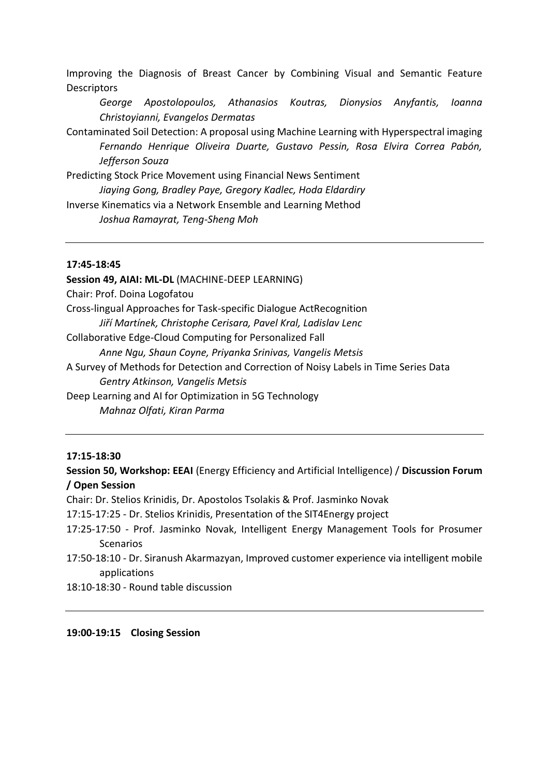Improving the Diagnosis of Breast Cancer by Combining Visual and Semantic Feature **Descriptors** 

*George Apostolopoulos, Athanasios Koutras, Dionysios Anyfantis, Ioanna Christoyianni, Evangelos Dermatas*

Contaminated Soil Detection: A proposal using Machine Learning with Hyperspectral imaging *Fernando Henrique Oliveira Duarte, Gustavo Pessin, Rosa Elvira Correa Pabón, Jefferson Souza* 

Predicting Stock Price Movement using Financial News Sentiment *Jiaying Gong, Bradley Paye, Gregory Kadlec, Hoda Eldardiry*  Inverse Kinematics via a Network Ensemble and Learning Method

*Joshua Ramayrat, Teng-Sheng Moh* 

#### **17:45-18:45**

**Session 49, AIAI: ML-DL** (MACHINE-DEEP LEARNING) Chair: Prof. Doina Logofatou Cross-lingual Approaches for Task-specific Dialogue ActRecognition *Jiří Martínek, Christophe Cerisara, Pavel Kral, Ladislav Lenc* Collaborative Edge-Cloud Computing for Personalized Fall *Anne Ngu, Shaun Coyne, Priyanka Srinivas, Vangelis Metsis* A Survey of Methods for Detection and Correction of Noisy Labels in Time Series Data *Gentry Atkinson, Vangelis Metsis* Deep Learning and AI for Optimization in 5G Technology *Mahnaz Olfati, Kiran Parma*

## **17:15-18:30**

**Session 50, Workshop: EEAI** (Energy Efficiency and Artificial Intelligence) / **Discussion Forum / Open Session**

Chair: Dr. Stelios Krinidis, Dr. Apostolos Tsolakis & Prof. Jasminko Novak

17:15-17:25 - Dr. Stelios Krinidis, Presentation of the SIT4Energy project

- 17:25-17:50 Prof. Jasminko Novak, Intelligent Energy Management Tools for Prosumer **Scenarios**
- 17:50-18:10 Dr. Siranush Akarmazyan, Improved customer experience via intelligent mobile applications
- 18:10-18:30 Round table discussion

**19:00-19:15 Closing Session**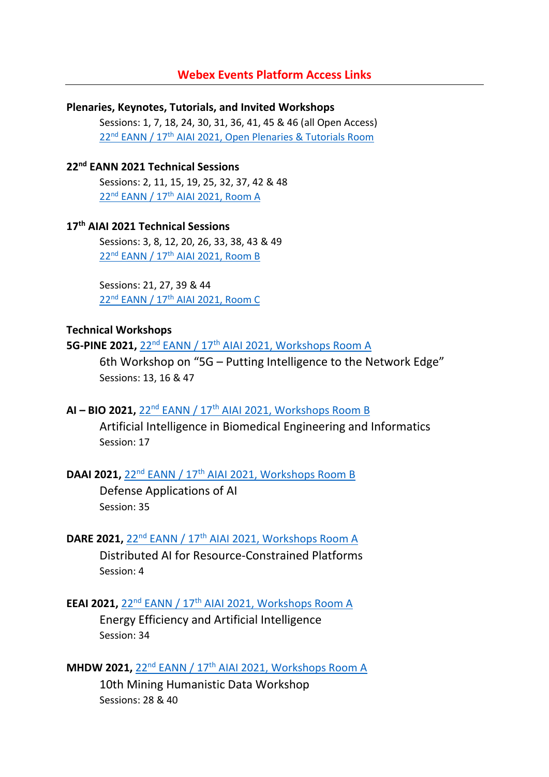## **Webex Events Platform Access Links**

**Plenaries, Keynotes, Tutorials, and Invited Workshops**  Sessions: 1, 7, 18, 24, 30, 31, 36, 41, 45 & 46 (all Open Access) 22<sup>nd</sup> EANN / 17<sup>th</sup> [AIAI 2021, Open Plenaries & Tutorials Room](https://eann-aiai.webex.com/eann-aiai/onstage/g.php?MTID=e8c9e987c1c4801571779864599ae2ae8)

## **22nd EANN 2021 Technical Sessions**

Sessions: 2, 11, 15, 19, 25, 32, 37, 42 & 48 22nd EANN / 17th [AIAI 2021, Room A](https://eann-aiai.webex.com/eann-aiai/onstage/g.php?MTID=e47a7bd4f4f0a80f09321816145f4ffdb)

## **17th AIAI 2021 Technical Sessions**

Sessions: 3, 8, 12, 20, 26, 33, 38, 43 & 49 22nd EANN / 17th [AIAI 2021, Room B](https://eann-aiai.webex.com/eann-aiai/onstage/g.php?MTID=e425b04b8bc213ff2a28643adcc21a716)

Sessions: 21, 27, 39 & 44 22nd EANN / 17th [AIAI 2021, Room C](https://eann-aiai.webex.com/eann-aiai/onstage/g.php?MTID=e8daeb4d820e8a43558e77afbd1c1baaf)

## **Technical Workshops**

**5G-PINE 2021, 22<sup>nd</sup> EANN / 17<sup>th</sup> [AIAI 2021, Workshops Room A](https://eann-aiai.webex.com/eann-aiai/onstage/g.php?MTID=eb1547198a0a184f53a9a23ee72d76de1)** 

6th Workshop on "5G – Putting Intelligence to the Network Edge" Sessions: 13, 16 & 47

## **AI – BIO 2021,** 22nd EANN / 17th [AIAI 2021, Workshops Room B](https://eann-aiai.webex.com/eann-aiai/onstage/g.php?MTID=ec4fb5dc2cf0bcc14beeecccf10fc7acd)

Artificial Intelligence in Biomedical Engineering and Informatics Session: 17

## **DAAI 2021, 22<sup>nd</sup> EANN / 17<sup>th</sup> [AIAI 2021, Workshops Room B](https://eann-aiai.webex.com/eann-aiai/onstage/g.php?MTID=ec4fb5dc2cf0bcc14beeecccf10fc7acd)**

Defense Applications of AI Session: 35

## **DARE 2021, 22<sup>nd</sup> EANN / 17<sup>th</sup> [AIAI 2021, Workshops Room A](https://eann-aiai.webex.com/eann-aiai/onstage/g.php?MTID=eb1547198a0a184f53a9a23ee72d76de1)**

Distributed AI for Resource-Constrained Platforms Session: 4

## **EEAI 2021, 22<sup>nd</sup> EANN / 17<sup>th</sup> [AIAI 2021, Workshops Room A](https://eann-aiai.webex.com/eann-aiai/onstage/g.php?MTID=eb1547198a0a184f53a9a23ee72d76de1)**

Energy Efficiency and Artificial Intelligence Session: 34

## **MHDW 2021, 22<sup>nd</sup> EANN / 17<sup>th</sup> [AIAI 2021, Workshops Room A](https://eann-aiai.webex.com/eann-aiai/onstage/g.php?MTID=eb1547198a0a184f53a9a23ee72d76de1)**

10th Mining Humanistic Data Workshop Sessions: 28 & 40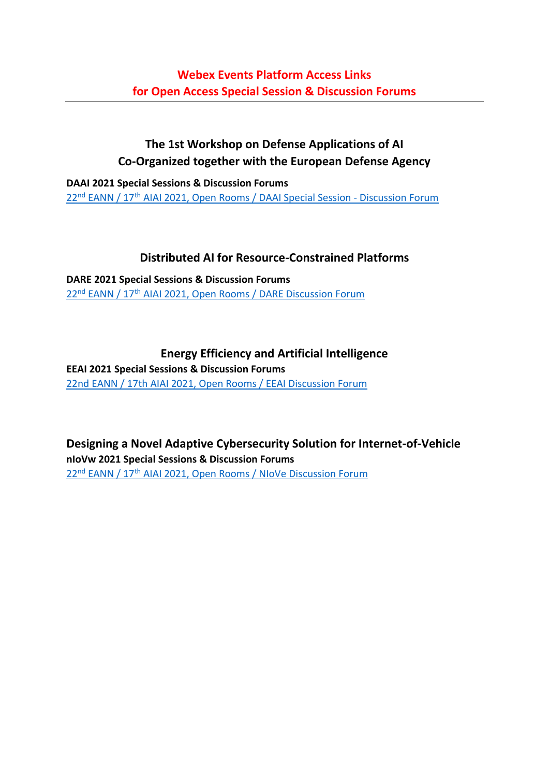## **The 1st Workshop on Defense Applications of AI Co-Organized together with the European Defense Agency**

**DAAI 2021 Special Sessions & Discussion Forums** 22<sup>nd</sup> EANN / 17<sup>th</sup> [AIAI 2021, Open Rooms / DAAI Special Session -](https://eann-aiai.webex.com/eann-aiai/onstage/g.php?MTID=e487cd6c47ffee3c72e9ed5327219c020) Discussion Forum

## **Distributed AI for Resource-Constrained Platforms**

**DARE 2021 Special Sessions & Discussion Forums** 22<sup>nd</sup> EANN / 17<sup>th</sup> [AIAI 2021, Open Rooms / DARE Discussion Forum](https://eann-aiai.webex.com/eann-aiai/onstage/g.php?MTID=e16b95a8170a4dc3faadcb2883cd3c667)

## **Energy Efficiency and Artificial Intelligence**

**EEAI 2021 Special Sessions & Discussion Forums** [22nd EANN / 17th AIAI 2021, Open Rooms / EEAI Discussion Forum](https://eann-aiai.webex.com/eann-aiai/onstage/g.php?MTID=e6c6e911dbb2f7a284f0a6e5d0c4d9ee1)

**Designing a Novel Adaptive Cybersecurity Solution for Internet-of-Vehicle nIoVw 2021 Special Sessions & Discussion Forums** 22<sup>nd</sup> EANN / 17<sup>th</sup> [AIAI 2021, Open Rooms / NIoVe Discussion Forum](https://eann-aiai.webex.com/eann-aiai/onstage/g.php?MTID=e281a804bac221186d7706af50e7c9976)